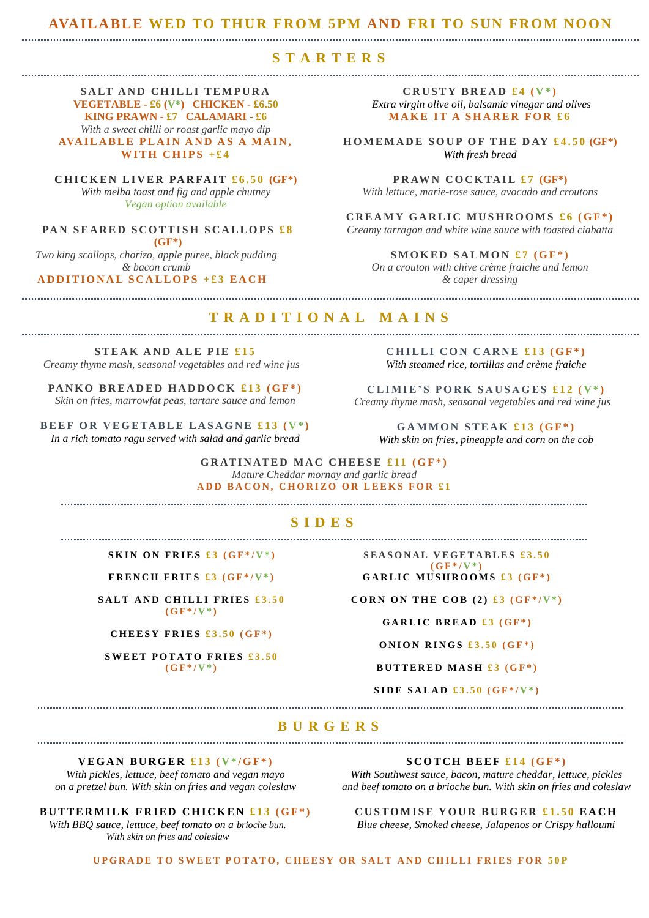#### **AVAILABLE WED TO THUR FROM 5PM AND FRI TO SUN FROM NOON**

### **STARTERS**

**SALT AND CHILLI TEMPURA VEGETABLE - £6 (V\*) CHICKEN - £6.50 KING PRAWN - £7 CALAMARI - £6** *With a sweet chilli or roast garlic mayo dip* **AVAILABLE PLAIN AND AS A MAIN, WITH CHIPS**  $+£4$ 

**CHICKEN LIVER PARFAIT £6.50 (GF\*)** *With melba toast and fig and apple chutney Vegan option available*

**PAN SEARED SCOTTISH SCALLOPS £8 (GF\*)** *Two king scallops, chorizo, apple puree, black pudding & bacon crumb* 

**A D D I T I O N A L S C A L L O P S + £ 3 E A C H**

**CRUSTY BREAD £4**  $(V^*)$ *Extra virgin olive oil, balsamic vinegar and olives* **MAKE IT A SHARER FOR £6** 

**HOMEMADE SOUP OF THE DAY £4.50 (GF\*)** *With fresh bread* 

**PRAWN COCKTAIL £7 (GF\*)** *With lettuce, marie-rose sauce, avocado and croutons* 

**CREAMY GARLIC MUSHROOMS £6** (GF\*) *Creamy tarragon and white wine sauce with toasted ciabatta*

**SMOKED SALMON £7**  $(GF^*)$ *On a crouton with chive crème fraiche and lemon & caper dressing* 

## **TRADITIONAL MAINS**

**STEAK AND ALE PIE £15** *Creamy thyme mash, seasonal vegetables and red wine jus*

PANKO BREADED HADDOCK £13 (GF<sup>\*</sup>) *Skin on fries, marrowfat peas, tartare sauce and lemon*

**B E E F O R V E G E TA B L E L A S A G N E £ 1 3 ( V \* )** *In a rich tomato ragu served with salad and garlic bread*

**CHILLI CON CARNE £13 (GF\*)** *With steamed rice, tortillas and crème fraiche*

CLIMIE'S PORK SAUSAGES  $£12$  ( $V^*$ ) *Creamy thyme mash, seasonal vegetables and red wine jus*

**GAMMON STEAK £13 (GF\*)** *With skin on fries, pineapple and corn on the cob*

**GRATINATED MAC CHEESE £11 (GF\*)** *Mature Cheddar mornay and garlic bread* **ADD BACON, CHORIZO OR LEEKS FOR £1** 

### **SIDES**

**SKIN ON FRIES £3** ( $GF^*/V^*$ )

**FRENCH FRIES £3 (GF\*/V\*)** 

**SALT AND CHILLI FRIES £3.50**  $(G F^* / V^*)$ 

**C H E E S Y F R I E S £ 3 . 5 0 ( G F \* )**

**SWEET POTATO FRIES £3.50**  $(GF^*/V^*)$ 

**SEASONAL VEGETABLES £3.50**  $(G F^* / V^*)$ GARLIC MUSHROOMS £3 (GF\*)

**CORN ON THE COB (2)**  $\pounds 3$  **(GF\*/V\*)** 

**GARLIC BREAD £3 (GF\*)** 

**ONION RINGS**  $\pounds3.50$  **(GF\*)** 

**BUTTERED MASH £3 (GF\*)** 

 $SIDE SALAD £3.50 (GF* / V*)$ 

### **BURGERS**

### **V E G A N B U R G E R £ 1 3 ( V \* / G F \* )**

*With pickles, lettuce, beef tomato and vegan mayo on a pretzel bun. With skin on fries and vegan coleslaw*

**BUTTERMILK FRIED CHICKEN £13 (GF\*)** 

*With BBQ sauce, lettuce, beef tomato on a brioche bun. With skin on fries and coleslaw*

#### **SCOTCH BEEF £14 (GF\*)**

*With Southwest sauce, bacon, mature cheddar, lettuce, pickles and beef tomato on a brioche bun. With skin on fries and coleslaw*

**CUSTOMISE YOUR BURGER £1.50 EACH** 

*Blue cheese, Smoked cheese, Jalapenos or Crispy halloumi* 

**UPGRADE TO SWEET POTATO, CHEESY OR SALT AND CHILLI FRIES FOR 50P**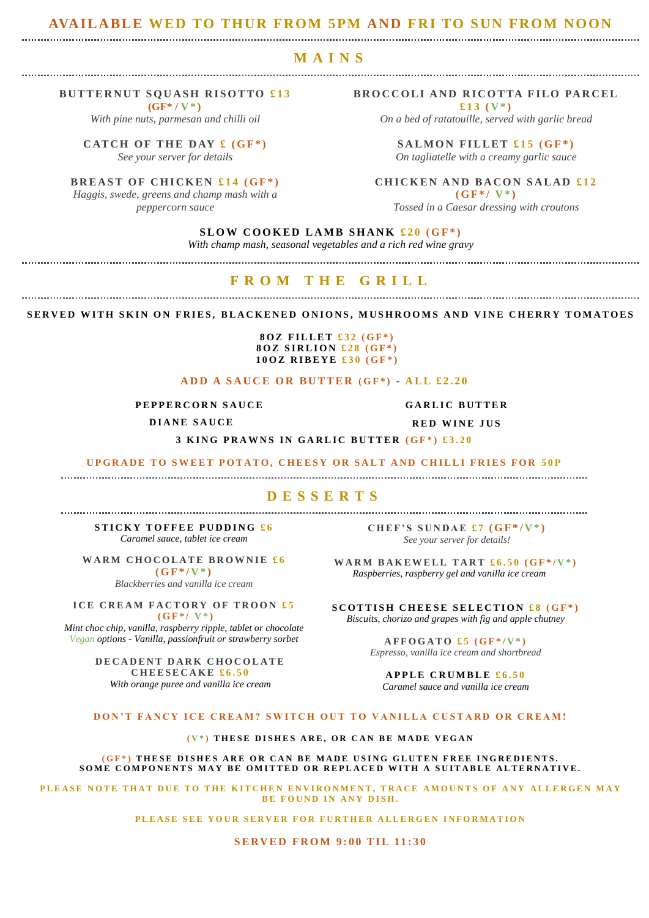#### **AVAILABLE WED TO THUR FROM 5PM AND FRI TO SUN FROM NOON**

#### **MAINS**

#### **BUTTERNUT SQUASH RISOTTO £13**

**(GF\* / V \* )** *With pine nuts, parmesan and chilli oil*

**CATCH OF THE DAY**  $f(GF^*)$ *See your server for details*

**BREAST OF CHICKEN £14 (GF\*)** 

*Haggis, swede, greens and champ mash with a peppercorn sauce*

**BROCCOLI AND RICOTTA FILO PARCEL £ 1 3 ( V \* )**

*On a bed of ratatouille, served with garlic bread*

**SALMON FILLET**  $£15(GF*)$ *On tagliatelle with a creamy garlic sauce*

**CHICKEN AND BACON SALAD £12**  $(GF^*/V^*)$ 

*Tossed in a Caesar dressing with croutons*

### **SLOW COOKED LAMB SHANK £20 (GF\*)**

*With champ mash, seasonal vegetables and a rich red wine gravy*

#### **FROM THE GRILL**

SERVED WITH SKIN ON FRIES, BLACKENED ONIONS, MUSHROOMS AND VINE CHERRY TOMATOES

#### **80Z FILLET £32 (GF\*) 8 O Z S I R L I O N £28 ( G F \* ) 100Z RIBEYE £30 (GF\*)**

### **A D D A S A U C E O R B U T T E R ( G F \* ) - A L L £ 2 . 2 0**

**PEPPERCORN SAUCE** 

**D I A N E S A U C E**

**GARLIC BUTTER** 

**RED WINE JUS** 

**3 KING PRAWNS IN GARLIC BUTTER (GF\*) £3.20** 

#### **UPGRADE TO SWEET POTATO, CHEESY OR SALT AND CHILLI FRIES FOR 50P**

### **DESSERTS**

**STICKY TOFFEE PUDDING £6** *Caramel sauce, tablet ice cream*

**WARM CHOCOLATE BROWNIE £6**  $(GF^*/V^*)$ 

*Blackberries and vanilla ice cream*

**ICE CREAM FACTORY OF TROON £5**  $(GF^*/V^*)$ 

*Mint choc chip, vanilla, raspberry ripple, tablet or chocolate Vegan options - Vanilla, passionfruit or strawberry sorbet*

> **DECADENT DARK CHOCOLATE C H E E S E C A K E £ 6 . 5 0** *With orange puree and vanilla ice cream*

CHEF'S SUNDAE  $f($ **GF** $*$  $/$ V $*$  $)$ *See your server for details!*

**WARM BAKEWELL TART**  $\text{\textsterling}6.50 \text{ (GF*}/V*)$ *Raspberries, raspberry gel and vanilla ice cream*

**SCOTTISH CHEESE SELECTION £8 (GF\*)** *Biscuits, chorizo and grapes with fig and apple chutney*

> $AFFOGATO$   $£5$   $(GF^*/V^*)$ *Espresso, vanilla ice cream and shortbread*

**APPLE CRUMBLE £6.50** *Caramel sauce and vanilla ice cream*

#### **DON'T FANCY ICE CREAM? SWITCH OUT TO VANILLA CUSTARD OR CREAM!**

#### **( V \* ) T H E S E D I S H E S A R E , O R C A N B E M A D E V E G A N**

**(GF\*) THESE DISHES ARE OR CAN BE MADE USING GLUTEN FREE INGREDIENTS.** SOME COMPONENTS MAY BE OMITTED OR REPLACED WITH A SUITABLE ALTERNATIVE.

PLEASE NOTE THAT DUE TO THE KITCHEN ENVIRONMENT, TRACE AMOUNTS OF ANY ALLERGEN MAY **BE FOUND IN ANY DISH.** 

PLEASE SEE YOUR SERVER FOR FURTHER ALLERGEN INFORMATION

**SERVED FROM 9:00 TIL 11:30**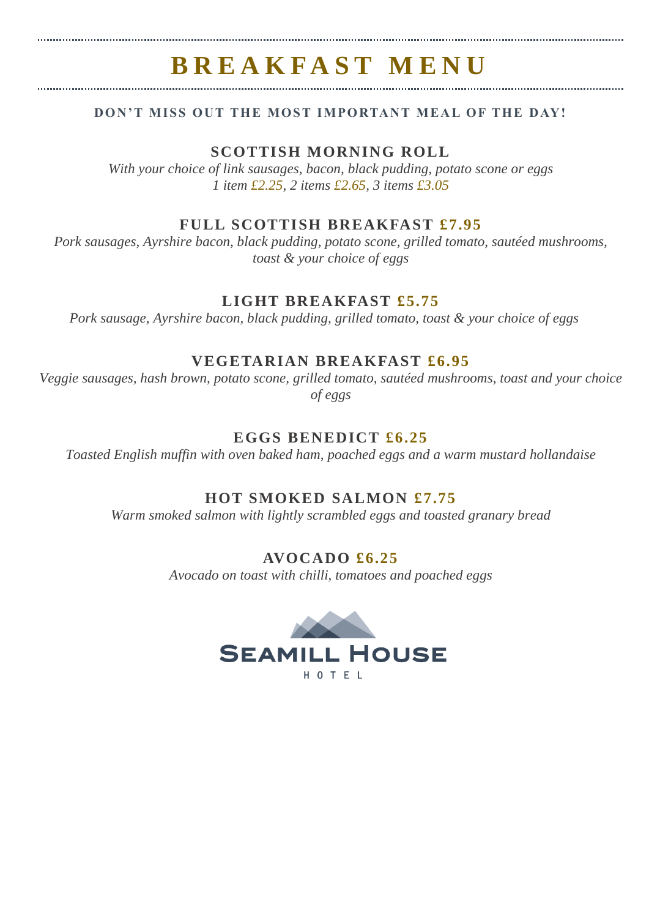# **B R E A K F A S T M E N U**

# **DON'T MISS OUT THE MOST IMPORTANT MEAL OF THE DAY!**

# **SCOTTISH MORNING ROLL**

*With your choice of link sausages, bacon, black pudding, potato scone or eggs 1 item £2.25, 2 items £2.65, 3 items £3.05*

# **FULL SCOTTISH BREAKFAST £7.95**

*Pork sausages, Ayrshire bacon, black pudding, potato scone, grilled tomato, sautéed mushrooms, toast & your choice of eggs*

# **LIGHT BREAKFAST £5.75**

*Pork sausage, Ayrshire bacon, black pudding, grilled tomato, toast & your choice of eggs*

# **VEGETARIAN BREAKFAST £6.95**

*Veggie sausages, hash brown, potato scone, grilled tomato, sautéed mushrooms, toast and your choice of eggs*

# **EGGS BENEDICT £6.25**

*Toasted English muffin with oven baked ham, poached eggs and a warm mustard hollandaise*

# **HOT SMOKED SALMON £7.75**

*Warm smoked salmon with lightly scrambled eggs and toasted granary bread*

# **AVOCADO £6.25**

*Avocado on toast with chilli, tomatoes and poached eggs*

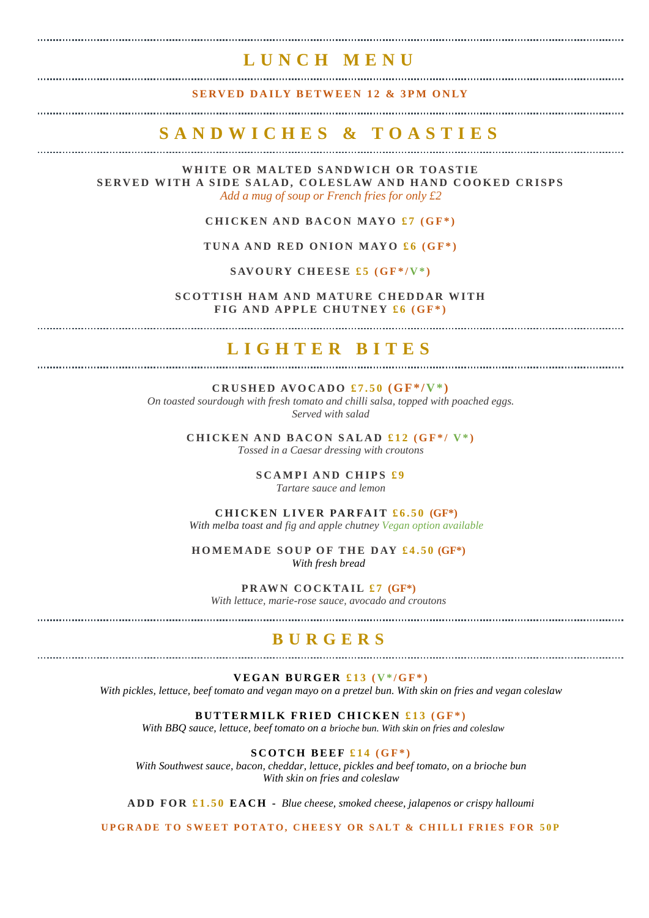# **L U N C H M E N U**

**SERVED DAILY BETWEEN 12 & 3PM ONLY** 

# **S A N D W I C H E S & T O A S T I E S**

WHITE OR MALTED SANDWICH OR TOASTIE **SERVED WITH A SIDE SALAD, COLESLAW AND HAND COOKED CRISPS** *Add a mug of soup or French fries for only £2*

### **CHICKEN AND BACON MAYO £7 (GF\*)**

**TUNA AND RED ONION MAYO £6 (GF\*)** 

SAVOURY CHEESE  $£5$  ( $GF^*/V^*$ )

**SCOTTISH HAM AND MATURE CHEDDAR WITH FIG AND APPLE CHUTNEY £6 (GF\*)** 

#### 

# **L I G H T E R B I T E S**

**CRUSHED AVOCADO £7.50**  $GF^*/V^*$ 

*On toasted sourdough with fresh tomato and chilli salsa, topped with poached eggs. Served with salad*

> **CHICKEN AND BACON SALAD £12 (GF\*/V\*)** *Tossed in a Caesar dressing with croutons*

> > **SCAMPI AND CHIPS £9** *Tartare sauce and lemon*

**CHICKEN LIVER PARFAIT £6.50 (GF\*)** 

*With melba toast and fig and apple chutney Vegan option available*

**HOMEMADE SOUP OF THE DAY £4.50 (GF\*)** *With fresh bread* 

**PRAWN COCKTAIL £7 (GF\*)** *With lettuce, marie-rose sauce, avocado and croutons* 

**B U R G E R S**

#### **V E G A N B U R G E R £ 1 3 ( V \* / G F \* )**

*With pickles, lettuce, beef tomato and vegan mayo on a pretzel bun. With skin on fries and vegan coleslaw*

#### **BUTTERMILK FRIED CHICKEN £13 (GF\*)**

*With BBQ sauce, lettuce, beef tomato on a brioche bun. With skin on fries and coleslaw*

**SCOTCH BEEF £14 (GF\*)** 

*With Southwest sauce, bacon, cheddar, lettuce, pickles and beef tomato, on a brioche bun With skin on fries and coleslaw*

**A D D F O R £ 1 . 5 0 E A C H -** *Blue cheese, smoked cheese, jalapenos or crispy halloumi* 

**UPGRADE TO SWEET POTATO, CHEESY OR SALT & CHILLI FRIES FOR 50P**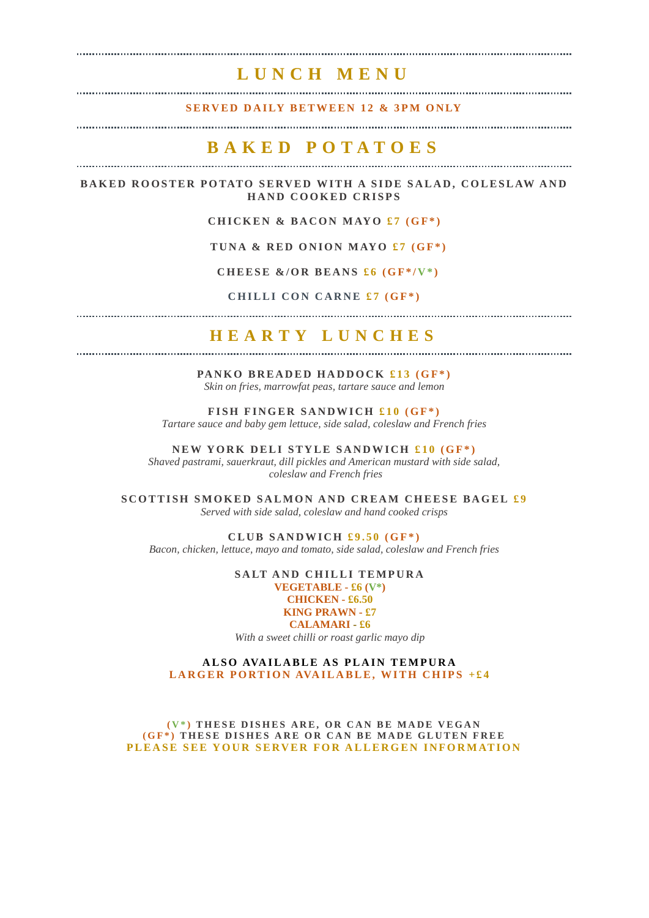# **L U N C H M E N U**

**SERVED DAILY BETWEEN 12 & 3PM ONLY** 

### **B A K E D P O T A T O E S**

**BAKED ROOSTER POTATO SERVED WITH A SIDE SALAD, COLESLAW AND HAND COOKED CRISPS** 

**CHICKEN & BACON MAYO £7 (GF\*)** 

TUNA & RED ONION MAYO  $f7$  (GF<sup>\*</sup>)

**CHEESE &/OR BEANS**  $f_6$  **(GF\*/V\*)** 

**CHILLI CON CARNE £7 (GF\*)** 

# **H E A R T Y L U N C H E S**

PANKO BREADED HADDOCK £13 (GF<sup>\*</sup>) *Skin on fries, marrowfat peas, tartare sauce and lemon*

**FISH FINGER SANDWICH £10 (GF\*)** *Tartare sauce and baby gem lettuce, side salad, coleslaw and French fries* 

**NEW YORK DELI STYLE SANDWICH £10 (GF\*)** *Shaved pastrami, sauerkraut, dill pickles and American mustard with side salad, coleslaw and French fries*

**SCOTTISH SMOKED SALMON AND CREAM CHEESE BAGEL £9** *Served with side salad, coleslaw and hand cooked crisps*

 $CLUB$  SANDWICH  $\pounds9.50$  (GF<sup>\*</sup>) *Bacon, chicken, lettuce, mayo and tomato, side salad, coleslaw and French fries*

> **SALT AND CHILLI TEMPURA VEGETABLE - £6 (V\*) CHICKEN - £6.50 KING PRAWN - £7 CALAMARI - £6** *With a sweet chilli or roast garlic mayo dip*

**ALSO AVAILABLE AS PLAIN TEMPURA LARGER PORTION AVAILABLE, WITH CHIPS +£4** 

**( V \* ) T H E S E D I S H E S A R E , O R C A N B E M A D E V E G A N (GF\*) THESE DISHES ARE OR CAN BE MADE GLUTEN FREE PLEASE SEE YOUR SERVER FOR ALLERGEN INFORMATION**